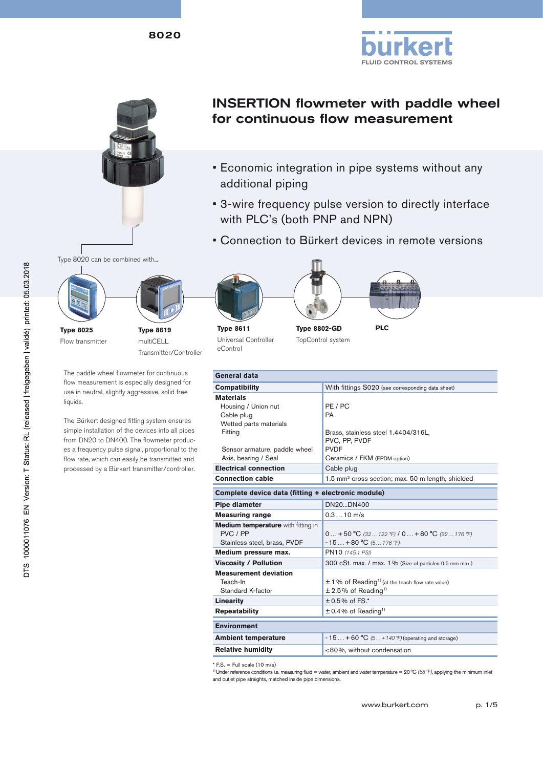



# INSERTION flowmeter with paddle wheel for continuous flow measurement

- Economic integration in pipe systems without any additional piping
- 3-wire frequency pulse version to directly interface with PLC's (both PNP and NPN)
- Connection to Bürkert devices in remote versions





multiCELL Transmitter/Controller

The paddle wheel flowmeter for continuous flow measurement is especially designed for use in neutral, slightly aggressive, solid free liquids.

The Bürkert designed fitting system ensures simple installation of the devices into all pipes from DN20 to DN400. The flowmeter produces a frequency pulse signal, proportional to the flow rate, which can easily be transmitted and processed by a Bürkert transmitter/controller.









**Type 8611** Universal Controller eControl

**Ty** To<sub>l</sub>



**PLC**

| pe 8802-GD |                 |
|------------|-----------------|
|            | pControl system |

| econtrol                                                                                                                                            |                                                                                                                      |  |
|-----------------------------------------------------------------------------------------------------------------------------------------------------|----------------------------------------------------------------------------------------------------------------------|--|
|                                                                                                                                                     |                                                                                                                      |  |
| General data                                                                                                                                        |                                                                                                                      |  |
| <b>Compatibility</b>                                                                                                                                | With fittings S020 (see corresponding data sheet)                                                                    |  |
| <b>Materials</b><br>Housing / Union nut<br>Cable plug<br>Wetted parts materials<br>Fitting<br>Sensor armature, paddle wheel<br>Axis, bearing / Seal | PE / PC<br>PA<br>Brass, stainless steel 1.4404/316L,<br>PVC, PP, PVDF<br><b>PVDF</b><br>Ceramics / FKM (EPDM option) |  |
| <b>Electrical connection</b>                                                                                                                        | Cable plug                                                                                                           |  |
| <b>Connection cable</b>                                                                                                                             | 1.5 mm <sup>2</sup> cross section; max. 50 m length, shielded                                                        |  |
| Complete device data (fitting + electronic module)                                                                                                  |                                                                                                                      |  |
| <b>Pipe diameter</b><br>DN20DN400                                                                                                                   |                                                                                                                      |  |
| <b>Measuring range</b>                                                                                                                              | $0.310$ m/s                                                                                                          |  |
| Medium temperature with fitting in<br>PVC / PP<br>Stainless steel, brass, PVDF                                                                      | $0 + 50$ °C (32 122 °F) $10 + 80$ °C (32 176 °F)<br>$-15+80 °C (5 176 °F)$                                           |  |
| Medium pressure max.                                                                                                                                | PN10 (145.1 PSI)                                                                                                     |  |
| <b>Viscosity / Pollution</b>                                                                                                                        | 300 cSt. max. / max. 1% (Size of particles 0.5 mm max.)                                                              |  |
| <b>Measurement deviation</b><br>Teach-In<br>Standard K-factor                                                                                       | $\pm$ 1 % of Reading <sup>1)</sup> (at the teach flow rate value)<br>$± 2.5\%$ of Reading <sup>1)</sup>              |  |
| <b>Linearity</b>                                                                                                                                    | $± 0.5\%$ of FS.*                                                                                                    |  |
| <b>Repeatability</b>                                                                                                                                | $\pm$ 0.4% of Reading <sup>1)</sup>                                                                                  |  |
| <b>Environment</b>                                                                                                                                  |                                                                                                                      |  |
| <b>Ambient temperature</b>                                                                                                                          | $-15 + 60 °C$ (5 + 140 °F) (operating and storage)                                                                   |  |
| <b>Relative humidity</b>                                                                                                                            | $\leq$ 80%, without condensation                                                                                     |  |
| $E_{\rm C} = E_{\rm eff}$ and $(10 \text{ m/s})$                                                                                                    |                                                                                                                      |  |

 $*$  F.S. = Full scale (10 m/s)

<sup>1)</sup> Under reference conditions i.e. measuring fluid = water, ambient and water temperature = 20 °C (68 °F), applying the minimum inlet and outlet pipe straights, matched inside pipe dimensions.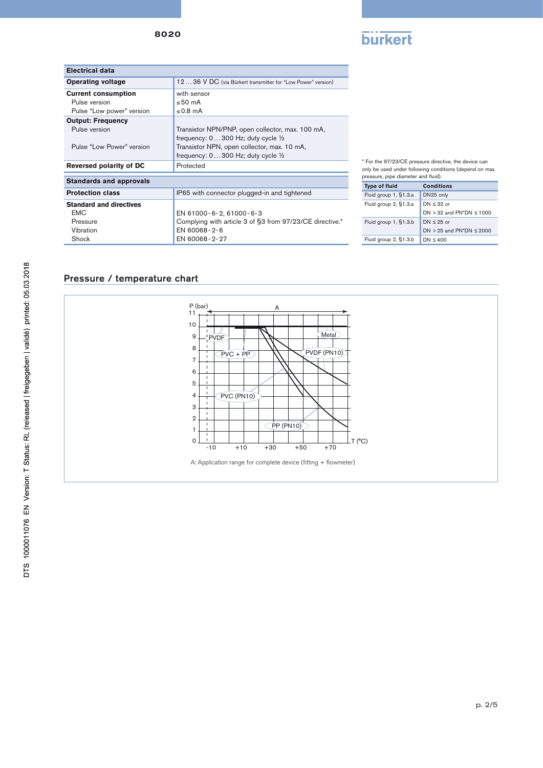8020



| Electrical data                |                                                             |
|--------------------------------|-------------------------------------------------------------|
| <b>Operating voltage</b>       | 1236 V DC (via Bürkert transmitter for "Low Power" version) |
| <b>Current consumption</b>     | with sensor                                                 |
| Pulse version                  | $\leq 50$ mA                                                |
| Pulse "Low power" version      | $\leq$ 0.8 mA                                               |
| <b>Output: Frequency</b>       |                                                             |
| Pulse version                  | Transistor NPN/PNP, open collector, max. 100 mA,            |
|                                | frequency: $0300$ Hz; duty cycle $\frac{1}{2}$              |
| Pulse "Low Power" version      | Transistor NPN, open collector, max. 10 mA,                 |
|                                | frequency: $0300$ Hz; duty cycle $\frac{1}{2}$              |
| Reversed polarity of DC        | Protected                                                   |
| <b>Standards and approvals</b> |                                                             |
| <b>Protection class</b>        | IP65 with connector plugged-in and tightened                |
| <b>Standard and directives</b> |                                                             |
| <b>EMC</b>                     | EN 61000-6-2, 61000-6-3                                     |
| Pressure                       | Complying with article 3 of §3 from 97/23/CE directive.*    |
| Vibration                      | EN 60068-2-6                                                |
| Shock                          | EN 60068-2-27                                               |

\* For the 97/23/CE pressure directive, the device can only be used under following conditions (depend on max.

| pressure, pipe diameter and fluid). |                                 |  |  |
|-------------------------------------|---------------------------------|--|--|
| <b>Type of fluid</b>                | <b>Conditions</b>               |  |  |
| Fluid group 1, §1.3.a               | DN25 only                       |  |  |
| Fluid group 2, §1.3.a               | $DN \leq 32$ or                 |  |  |
|                                     | DN $>$ 32 and PN*DN $\leq$ 1000 |  |  |
| Fluid group 1, §1.3.b               | $DN \leq 25$ or                 |  |  |
|                                     | DN $>$ 25 and PN*DN $\leq$ 2000 |  |  |
| Fluid group 2, §1.3.b               | DN $\leq 400$                   |  |  |

# Pressure / temperature chart

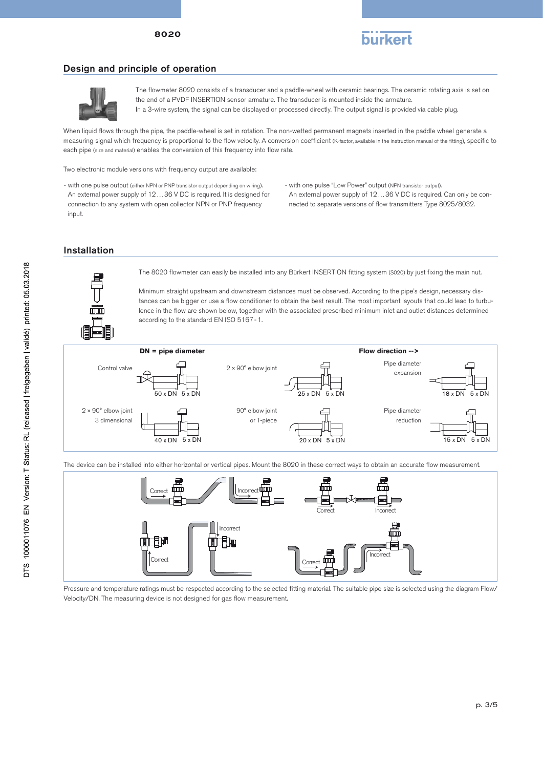



#### Design and principle of operation



The flowmeter 8020 consists of a transducer and a paddle-wheel with ceramic bearings. The ceramic rotating axis is set on the end of a PVDF INSERTION sensor armature. The transducer is mounted inside the armature. In a 3-wire system, the signal can be displayed or processed directly. The output signal is provided via cable plug.

When liquid flows through the pipe, the paddle-wheel is set in rotation. The non-wetted permanent magnets inserted in the paddle wheel generate a measuring signal which frequency is proportional to the flow velocity. A conversion coefficient (K-factor, available in the instruction manual of the fitting), specific to each pipe (size and material) enables the conversion of this frequency into flow rate.

Two electronic module versions with frequency output are available:

- with one pulse output (either NPN or PNP transistor output depending on wiring). An external power supply of 12…36 V DC is required. It is designed for connection to any system with open collector NPN or PNP frequency input.

nected to separate versions of flow transmitters Type 8025/8032. - with one pulse "Low Power" output (NPN transistor output). An external power supply of 12…36 V DC is required. Can only be con-

 $\mathcal{A}(\mathcal{A})$  and  $\mathcal{A}(\mathcal{A})$ 

#### Installation



The 8020 flowmeter can easily be installed into any Bürkert INSERTION fitting system (S020) by just fixing the main nut.

Minimum straight upstream and downstream distances must be observed. According to the pipe's design, necessary distances can be bigger or use a flow conditioner to obtain the best result. The most important layouts that could lead to turbulence in the flow are shown below, together with the associated prescribed minimum inlet and outlet distances determined according to the standard EN ISO 5167-1.



The device can be installed into either horizontal or vertical pipes. Mount the 8020 in these correct ways to obtain an accurate flow measurement.



Pressure and temperature ratings must be respected according to the selected fitting material. The suitable pipe size is selected using the diagram Flow/ Velocity/DN. The measuring device is not designed for gas flow measurement.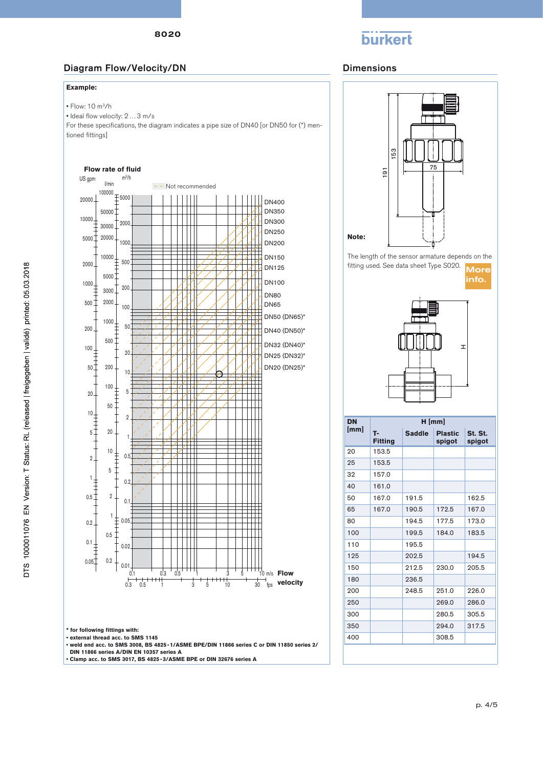# **burkert**

# Diagram Flow/Velocity/DN Dimensions

#### **Example:**

• Flow: 10 m3/h

• Ideal flow velocity: 2…3 m/s

For these specifications, the diagram indicates a pipe size of DN40 [or DN50 for (\*) mentioned fittings]

#### **Flow rate of fluid**



**\* for following fittings with: • external thread acc. to SMS 1145** 

**• weld end acc. to SMS 3008, BS 4825-1/ASME BPE/DIN 11866 series C or DIN 11850 series 2/**

**DIN 11866 series A/DIN EN 10357 series A • Clamp acc. to SMS 3017, BS 4825-3/ASME BPE or DIN 32676 series A**





| <b>DN</b> | $H$ [mm]             |               |                          |                   |  |
|-----------|----------------------|---------------|--------------------------|-------------------|--|
| [mm]      | т.<br><b>Fitting</b> | <b>Saddle</b> | <b>Plastic</b><br>spigot | St. St.<br>spigot |  |
| 20        | 153.5                |               |                          |                   |  |
| 25        | 153.5                |               |                          |                   |  |
| 32        | 157.0                |               |                          |                   |  |
| 40        | 161.0                |               |                          |                   |  |
| 50        | 167.0                | 191.5         |                          | 162.5             |  |
| 65        | 167.0                | 190.5         | 172.5                    | 167.0             |  |
| 80        |                      | 194.5         | 177.5                    | 173.0             |  |
| 100       |                      | 199.5         | 184.0                    | 183.5             |  |
| 110       |                      | 195.5         |                          |                   |  |
| 125       |                      | 202.5         |                          | 194.5             |  |
| 150       |                      | 212.5         | 230.0                    | 205.5             |  |
| 180       |                      | 236.5         |                          |                   |  |
| 200       |                      | 248.5         | 251.0                    | 226.0             |  |
| 250       |                      |               | 269.0                    | 286.0             |  |
| 300       |                      |               | 280.5                    | 305.5             |  |
| 350       |                      |               | 294.0                    | 317.5             |  |
| 400       |                      |               | 308.5                    |                   |  |
|           |                      |               |                          |                   |  |